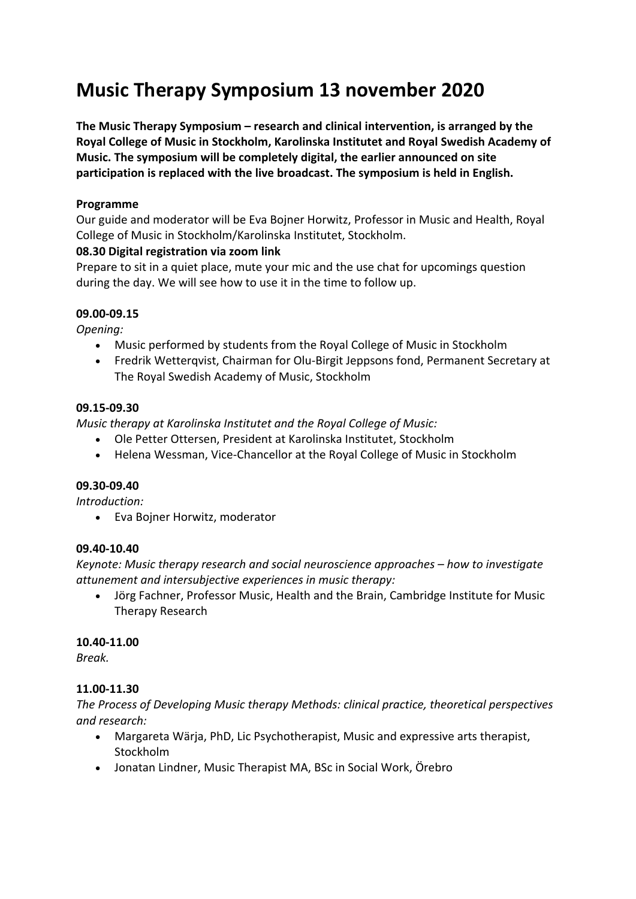# **Music Therapy Symposium 13 november 2020**

**The Music Therapy Symposium – research and clinical intervention, is arranged by the Royal College of Music in Stockholm, Karolinska Institutet and Royal Swedish Academy of Music. The symposium will be completely digital, the earlier announced on site participation is replaced with the live broadcast. The symposium is held in English.**

# **Programme**

Our guide and moderator will be Eva Bojner Horwitz, Professor in Music and Health, Royal College of Music in Stockholm/Karolinska Institutet, Stockholm.

# **08.30 Digital registration via zoom link**

Prepare to sit in a quiet place, mute your mic and the use chat for upcomings question during the day. We will see how to use it in the time to follow up.

# **09.00-09.15**

*Opening:*

- Music performed by students from the Royal College of Music in Stockholm
- Fredrik Wetterqvist, Chairman for Olu-Birgit Jeppsons fond, Permanent Secretary at The Royal Swedish Academy of Music, Stockholm

# **09.15-09.30**

*Music therapy at Karolinska Institutet and the Royal College of Music:*

- Ole Petter Ottersen, President at Karolinska Institutet, Stockholm
- Helena Wessman, Vice-Chancellor at the Royal College of Music in Stockholm

## **09.30-09.40**

*Introduction:*

• Eva Bojner Horwitz, moderator

## **09.40-10.40**

*Keynote: Music therapy research and social neuroscience approaches – how to investigate attunement and intersubjective experiences in music therapy:*

• Jörg Fachner, Professor Music, Health and the Brain, Cambridge Institute for Music Therapy Research

# **10.40-11.00**

*Break.*

# **11.00-11.30**

*The Process of Developing Music therapy Methods: clinical practice, theoretical perspectives and research:*

- Margareta Wärja, PhD, Lic Psychotherapist, Music and expressive arts therapist, Stockholm
- Jonatan Lindner, Music Therapist MA, BSc in Social Work, Örebro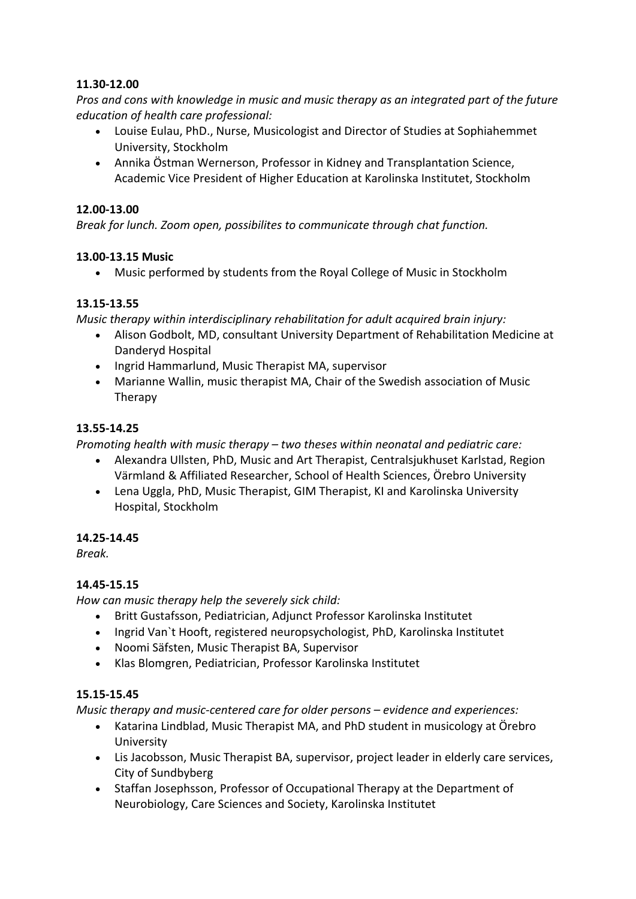# **11.30-12.00**

*Pros and cons with knowledge in music and music therapy as an integrated part of the future education of health care professional:*

- Louise Eulau, PhD., Nurse, Musicologist and Director of Studies at Sophiahemmet University, Stockholm
- Annika Östman Wernerson, Professor in Kidney and Transplantation Science, Academic Vice President of Higher Education at Karolinska Institutet, Stockholm

#### **12.00-13.00**

*Break for lunch. Zoom open, possibilites to communicate through chat function.*

#### **13.00-13.15 Music**

• Music performed by students from the Royal College of Music in Stockholm

## **13.15-13.55**

*Music therapy within interdisciplinary rehabilitation for adult acquired brain injury:*

- Alison Godbolt, MD, consultant University Department of Rehabilitation Medicine at Danderyd Hospital
- Ingrid Hammarlund, Music Therapist MA, supervisor
- Marianne Wallin, music therapist MA, Chair of the Swedish association of Music Therapy

#### **13.55-14.25**

*Promoting health with music therapy – two theses within neonatal and pediatric care:*

- Alexandra Ullsten, PhD, Music and Art Therapist, Centralsjukhuset Karlstad, Region Värmland & Affiliated Researcher, School of Health Sciences, Örebro University
- Lena Uggla, PhD, Music Therapist, GIM Therapist, KI and Karolinska University Hospital, Stockholm

## **14.25-14.45**

*Break.*

#### **14.45-15.15**

*How can music therapy help the severely sick child:*

- Britt Gustafsson, Pediatrician, Adjunct Professor Karolinska Institutet
- Ingrid Van`t Hooft, registered neuropsychologist, PhD, Karolinska Institutet
- Noomi Säfsten, Music Therapist BA, Supervisor
- Klas Blomgren, Pediatrician, Professor Karolinska Institutet

## **15.15-15.45**

*Music therapy and music-centered care for older persons – evidence and experiences:*

- Katarina Lindblad, Music Therapist MA, and PhD student in musicology at Örebro University
- Lis Jacobsson, Music Therapist BA, supervisor, project leader in elderly care services, City of Sundbyberg
- Staffan Josephsson, Professor of Occupational Therapy at the Department of Neurobiology, Care Sciences and Society, Karolinska Institutet